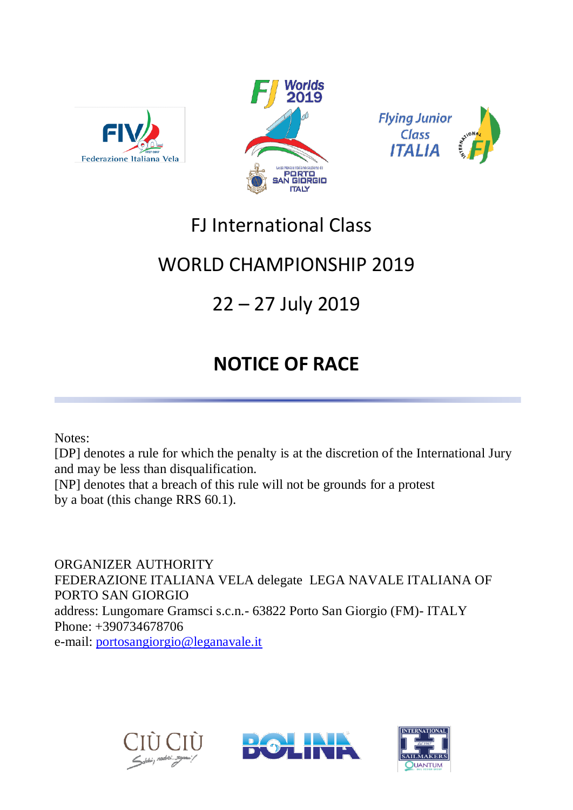





## FJ International Class

## WORLD CHAMPIONSHIP 2019

# 22 – 27 July 2019

# **NOTICE OF RACE**

Notes:

[DP] denotes a rule for which the penalty is at the discretion of the International Jury and may be less than disqualification.

[NP] denotes that a breach of this rule will not be grounds for a protest by a boat (this change RRS 60.1).

ORGANIZER AUTHORITY FEDERAZIONE ITALIANA VELA delegate LEGA NAVALE ITALIANA OF PORTO SAN GIORGIO address: Lungomare Gramsci s.c.n.- 63822 Porto San Giorgio (FM)- ITALY Phone: +390734678706 e-mail: [portosangiorgio@leganavale.it](mailto:portosangiorgio@leganavale.it)





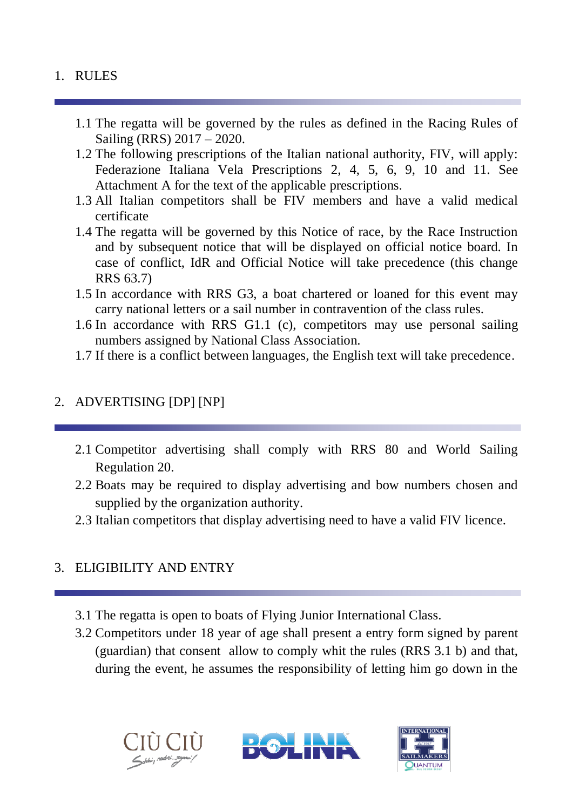#### 1. RULES

- 1.1 The regatta will be governed by the rules as defined in the Racing Rules of Sailing (RRS) 2017 – 2020.
- 1.2 The following prescriptions of the Italian national authority, FIV, will apply: Federazione Italiana Vela Prescriptions 2, 4, 5, 6, 9, 10 and 11. See Attachment A for the text of the applicable prescriptions.
- 1.3 All Italian competitors shall be FIV members and have a valid medical certificate
- 1.4 The regatta will be governed by this Notice of race, by the Race Instruction and by subsequent notice that will be displayed on official notice board. In case of conflict, IdR and Official Notice will take precedence (this change RRS 63.7)
- 1.5 In accordance with RRS G3, a boat chartered or loaned for this event may carry national letters or a sail number in contravention of the class rules.
- 1.6 In accordance with RRS G1.1 (c), competitors may use personal sailing numbers assigned by National Class Association.
- 1.7 If there is a conflict between languages, the English text will take precedence.

#### 2. ADVERTISING [DP] [NP]

- 2.1 Competitor advertising shall comply with RRS 80 and World Sailing Regulation 20.
- 2.2 Boats may be required to display advertising and bow numbers chosen and supplied by the organization authority.
- 2.3 Italian competitors that display advertising need to have a valid FIV licence.

## 3. ELIGIBILITY AND ENTRY

- 3.1 The regatta is open to boats of Flying Junior International Class.
- 3.2 Competitors under 18 year of age shall present a entry form signed by parent (guardian) that consent allow to comply whit the rules (RRS 3.1 b) and that, during the event, he assumes the responsibility of letting him go down in the





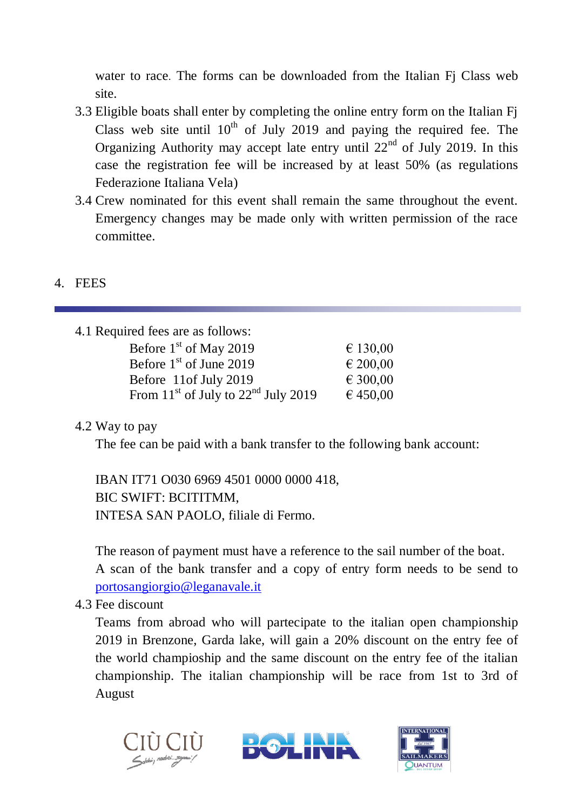water to race. The forms can be downloaded from the Italian Fj Class web site.

- 3.3 Eligible boats shall enter by completing the online entry form on the Italian Fj Class web site until  $10^{th}$  of July 2019 and paying the required fee. The Organizing Authority may accept late entry until  $22<sup>nd</sup>$  of July 2019. In this case the registration fee will be increased by at least 50% (as regulations Federazione Italiana Vela)
- 3.4 Crew nominated for this event shall remain the same throughout the event. Emergency changes may be made only with written permission of the race committee.

#### 4. FEES

| 4.1 Required fees are as follows: |  |  |  |
|-----------------------------------|--|--|--|
| € 130,00                          |  |  |  |
| $\in 200,00$                      |  |  |  |
| € 300,00                          |  |  |  |
| € 450,00                          |  |  |  |
|                                   |  |  |  |

## 4.2 Way to pay

The fee can be paid with a bank transfer to the following bank account:

IBAN IT71 O030 6969 4501 0000 0000 418, BIC SWIFT: BCITITMM, INTESA SAN PAOLO, filiale di Fermo.

The reason of payment must have a reference to the sail number of the boat. A scan of the bank transfer and a copy of entry form needs to be send to [portosangiorgio@leganavale.it](mailto:portosangiorgio@leganavale.it)

4.3 Fee discount

Teams from abroad who will partecipate to the italian open championship 2019 in Brenzone, Garda lake, will gain a 20% discount on the entry fee of the world champioship and the same discount on the entry fee of the italian championship. The italian championship will be race from 1st to 3rd of August





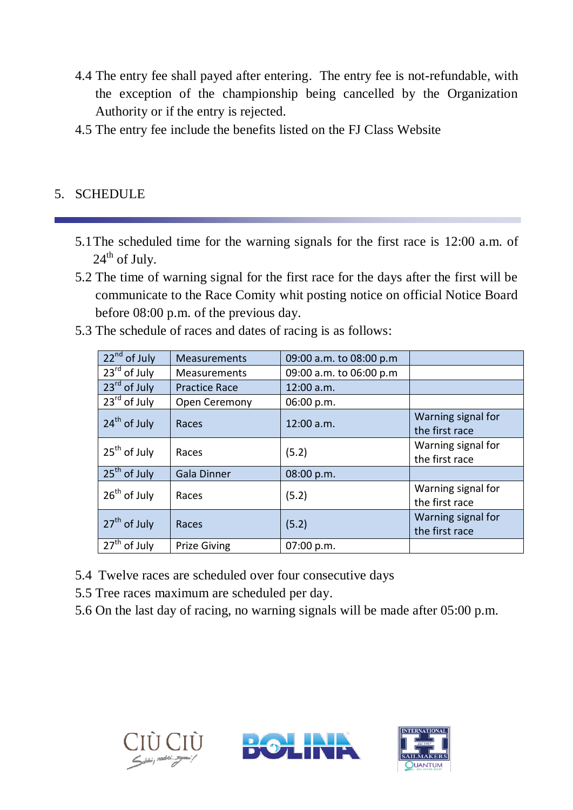- 4.4 The entry fee shall payed after entering. The entry fee is not-refundable, with the exception of the championship being cancelled by the Organization Authority or if the entry is rejected.
- 4.5 The entry fee include the benefits listed on the FJ Class Website

#### 5. SCHEDULE

- 5.1The scheduled time for the warning signals for the first race is 12:00 a.m. of  $24<sup>th</sup>$  of July.
- 5.2 The time of warning signal for the first race for the days after the first will be communicate to the Race Comity whit posting notice on official Notice Board before 08:00 p.m. of the previous day.
- 5.3 The schedule of races and dates of racing is as follows:

| 22 <sup>nd</sup> of July | Measurements         | 09:00 a.m. to 08:00 p.m |                                      |
|--------------------------|----------------------|-------------------------|--------------------------------------|
| $23rd$ of July           | Measurements         | 09:00 a.m. to 06:00 p.m |                                      |
| 23 <sup>rd</sup> of July | <b>Practice Race</b> | 12:00 a.m.              |                                      |
| 23 <sup>rd</sup> of July | Open Ceremony        | 06:00 p.m.              |                                      |
| $24th$ of July           | Races                | 12:00 a.m.              | Warning signal for<br>the first race |
| $25th$ of July           | Races                | (5.2)                   | Warning signal for<br>the first race |
| $25th$ of July           | <b>Gala Dinner</b>   | 08:00 p.m.              |                                      |
| $26th$ of July           | Races                | (5.2)                   | Warning signal for<br>the first race |
| $27th$ of July           | Races                | (5.2)                   | Warning signal for<br>the first race |
| $27th$ of July           | <b>Prize Giving</b>  | 07:00 p.m.              |                                      |

- 5.4 Twelve races are scheduled over four consecutive days
- 5.5 Tree races maximum are scheduled per day.
- 5.6 On the last day of racing, no warning signals will be made after 05:00 p.m.





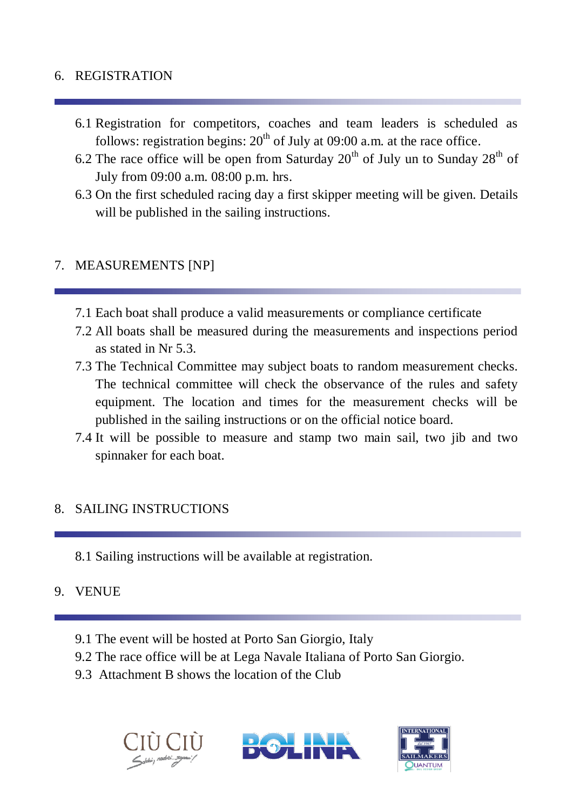#### 6. REGISTRATION

- 6.1 Registration for competitors, coaches and team leaders is scheduled as follows: registration begins:  $20<sup>th</sup>$  of July at 09:00 a.m. at the race office.
- 6.2 The race office will be open from Saturday  $20^{th}$  of July un to Sunday  $28^{th}$  of July from 09:00 a.m. 08:00 p.m. hrs.
- 6.3 On the first scheduled racing day a first skipper meeting will be given. Details will be published in the sailing instructions.

#### 7. MEASUREMENTS [NP]

- 7.1 Each boat shall produce a valid measurements or compliance certificate
- 7.2 All boats shall be measured during the measurements and inspections period as stated in Nr 5.3.
- 7.3 The Technical Committee may subject boats to random measurement checks. The technical committee will check the observance of the rules and safety equipment. The location and times for the measurement checks will be published in the sailing instructions or on the official notice board.
- 7.4 It will be possible to measure and stamp two main sail, two jib and two spinnaker for each boat.

#### 8. SAILING INSTRUCTIONS

8.1 Sailing instructions will be available at registration.

#### 9. VENUE

- 9.1 The event will be hosted at Porto San Giorgio, Italy
- 9.2 The race office will be at Lega Navale Italiana of Porto San Giorgio.
- 9.3 Attachment B shows the location of the Club





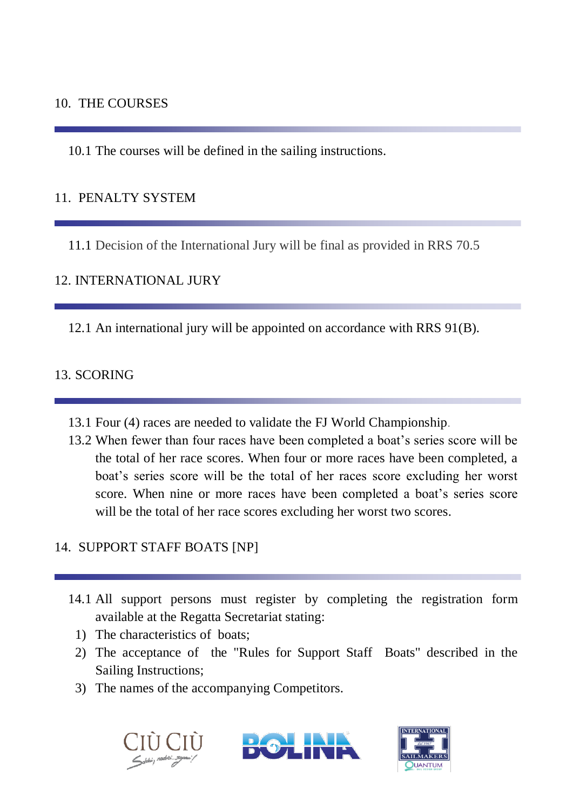#### 10. THE COURSES

10.1 The courses will be defined in the sailing instructions.

### 11. PENALTY SYSTEM

11.1 Decision of the International Jury will be final as provided in RRS 70.5

#### 12. INTERNATIONAL JURY

12.1 An international jury will be appointed on accordance with RRS 91(B).

#### 13. SCORING

- 13.1 Four (4) races are needed to validate the FJ World Championship.
- 13.2 When fewer than four races have been completed a boat's series score will be the total of her race scores. When four or more races have been completed, a boat's series score will be the total of her races score excluding her worst score. When nine or more races have been completed a boat's series score will be the total of her race scores excluding her worst two scores.

## 14. SUPPORT STAFF BOATS [NP]

- 14.1 All support persons must register by completing the registration form available at the Regatta Secretariat stating:
	- 1) The characteristics of boats;
	- 2) The acceptance of the "Rules for Support Staff Boats" described in the Sailing Instructions;
	- 3) The names of the accompanying Competitors.





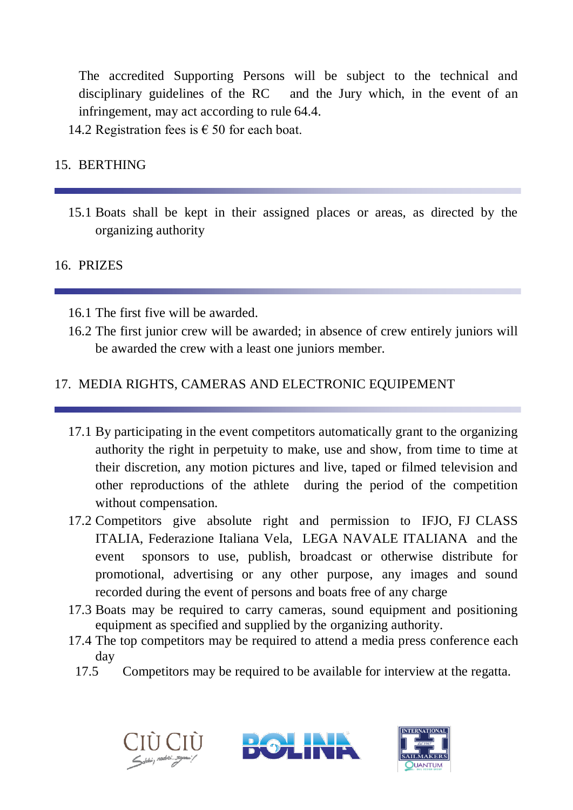The accredited Supporting Persons will be subject to the technical and disciplinary guidelines of the RC and the Jury which, in the event of an infringement, may act according to rule 64.4.

14.2 Registration fees is  $\epsilon$  50 for each boat.

## 15. BERTHING

15.1 Boats shall be kept in their assigned places or areas, as directed by the organizing authority

## 16. PRIZES

16.1 The first five will be awarded.

16.2 The first junior crew will be awarded; in absence of crew entirely juniors will be awarded the crew with a least one juniors member.

## 17. MEDIA RIGHTS, CAMERAS AND ELECTRONIC EQUIPEMENT

- 17.1 By participating in the event competitors automatically grant to the organizing authority the right in perpetuity to make, use and show, from time to time at their discretion, any motion pictures and live, taped or filmed television and other reproductions of the athlete during the period of the competition without compensation.
- 17.2 Competitors give absolute right and permission to IFJO, FJ CLASS ITALIA, Federazione Italiana Vela, LEGA NAVALE ITALIANA and the event sponsors to use, publish, broadcast or otherwise distribute for promotional, advertising or any other purpose, any images and sound recorded during the event of persons and boats free of any charge
- 17.3 Boats may be required to carry cameras, sound equipment and positioning equipment as specified and supplied by the organizing authority.
- 17.4 The top competitors may be required to attend a media press conference each day
	- 17.5 Competitors may be required to be available for interview at the regatta.





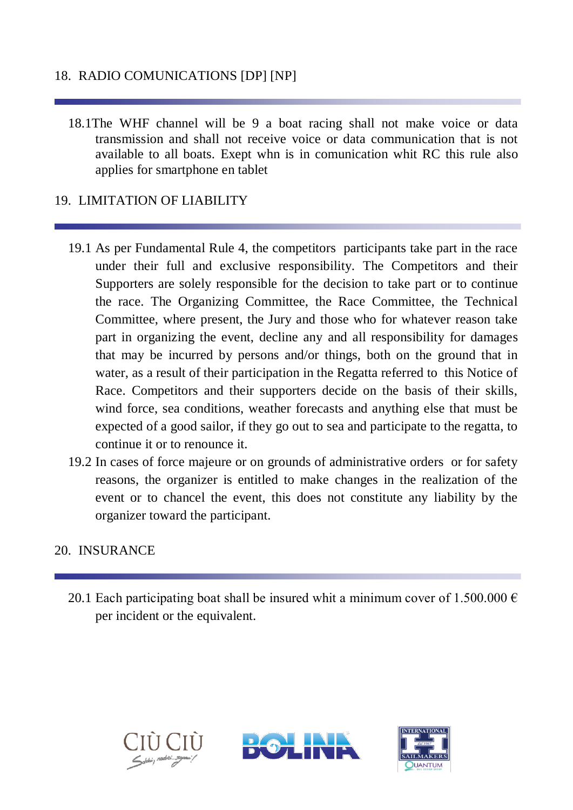## 18. RADIO COMUNICATIONS [DP] [NP]

18.1The WHF channel will be 9 a boat racing shall not make voice or data transmission and shall not receive voice or data communication that is not available to all boats. Exept whn is in comunication whit RC this rule also applies for smartphone en tablet

#### 19. LIMITATION OF LIABILITY

- 19.1 As per Fundamental Rule 4, the competitors participants take part in the race under their full and exclusive responsibility. The Competitors and their Supporters are solely responsible for the decision to take part or to continue the race. The Organizing Committee, the Race Committee, the Technical Committee, where present, the Jury and those who for whatever reason take part in organizing the event, decline any and all responsibility for damages that may be incurred by persons and/or things, both on the ground that in water, as a result of their participation in the Regatta referred to this Notice of Race. Competitors and their supporters decide on the basis of their skills, wind force, sea conditions, weather forecasts and anything else that must be expected of a good sailor, if they go out to sea and participate to the regatta, to continue it or to renounce it.
- 19.2 In cases of force majeure or on grounds of administrative orders or for safety reasons, the organizer is entitled to make changes in the realization of the event or to chancel the event, this does not constitute any liability by the organizer toward the participant.

#### 20. INSURANCE

20.1 Each participating boat shall be insured whit a minimum cover of 1.500.000  $\epsilon$ per incident or the equivalent.





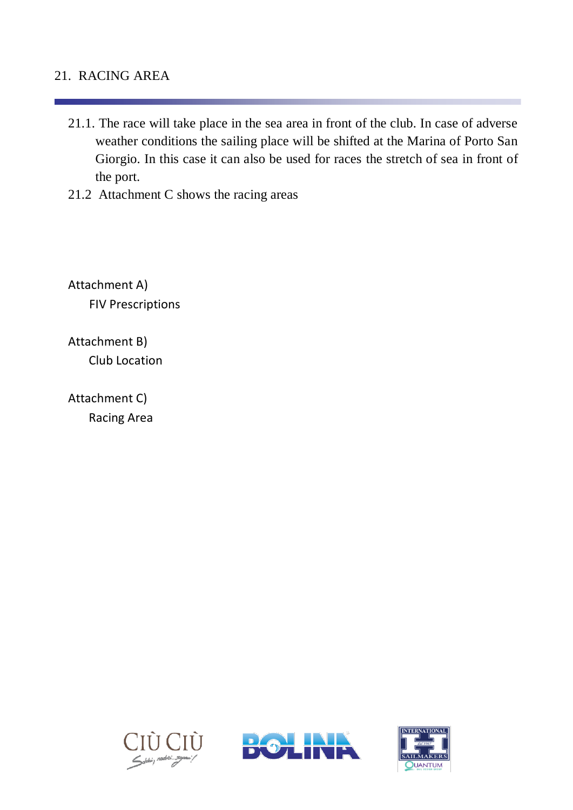### 21. RACING AREA

- 21.1. The race will take place in the sea area in front of the club. In case of adverse weather conditions the sailing place will be shifted at the Marina of Porto San Giorgio. In this case it can also be used for races the stretch of sea in front of the port.
- 21.2 Attachment C shows the racing areas

Attachment A) FIV Prescriptions

Attachment B) Club Location

Attachment C) Racing Area





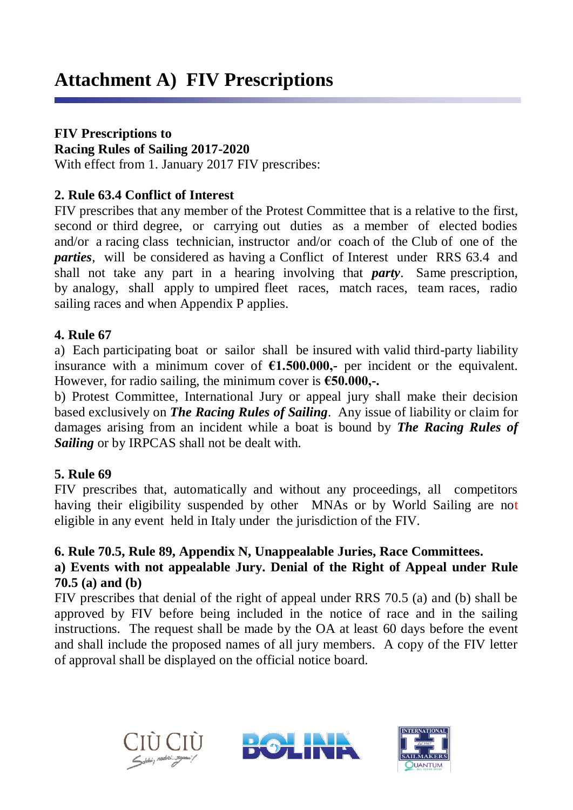## **FIV Prescriptions to**

**Racing Rules of Sailing 2017-2020**

With effect from 1. January 2017 FIV prescribes:

### **2. Rule 63.4 Conflict of Interest**

FIV prescribes that any member of the Protest Committee that is a relative to the first, second or third degree, or carrying out duties as a member of elected bodies and/or a racing class technician, instructor and/or coach of the Club of one of the *parties*, will be considered as having a Conflict of Interest under RRS 63.4 and shall not take any part in a hearing involving that *party*. Same prescription, by analogy, shall apply to umpired fleet races, match races, team races, radio sailing races and when Appendix P applies.

#### **4. Rule 67**

a) Each participating boat or sailor shall be insured with valid third-party liability insurance with a minimum cover of  $\epsilon$ 1.500.000,- per incident or the equivalent. However, for radio sailing, the minimum cover is **€50.000,-.**

b) Protest Committee, International Jury or appeal jury shall make their decision based exclusively on *The Racing Rules of Sailing*. Any issue of liability or claim for damages arising from an incident while a boat is bound by *The Racing Rules of Sailing* or by IRPCAS shall not be dealt with.

## **5. Rule 69**

FIV prescribes that, automatically and without any proceedings, all competitors having their eligibility suspended by other MNAs or by World Sailing are not eligible in any event held in Italy under the jurisdiction of the FIV.

## **6. Rule 70.5, Rule 89, Appendix N, Unappealable Juries, Race Committees.**

## **a) Events with not appealable Jury. Denial of the Right of Appeal under Rule 70.5 (a) and (b)**

FIV prescribes that denial of the right of appeal under RRS 70.5 (a) and (b) shall be approved by FIV before being included in the notice of race and in the sailing instructions. The request shall be made by the OA at least 60 days before the event and shall include the proposed names of all jury members. A copy of the FIV letter of approval shall be displayed on the official notice board.



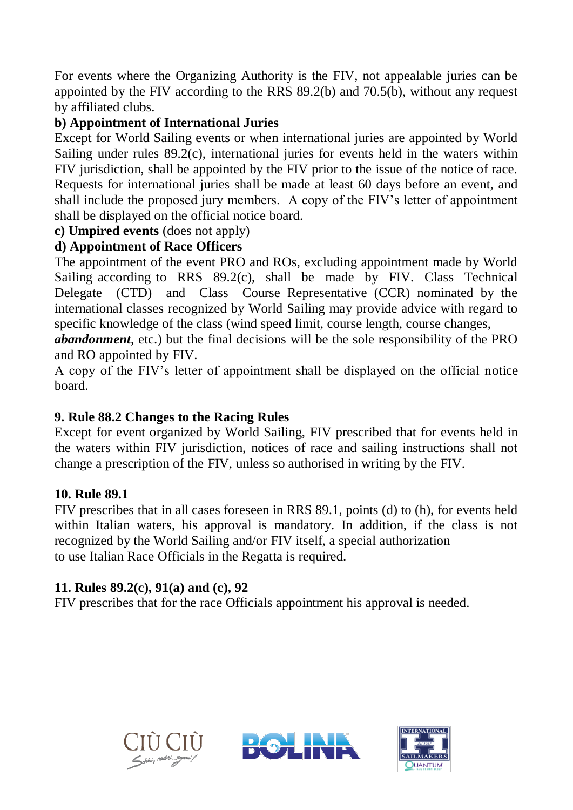For events where the Organizing Authority is the FIV, not appealable juries can be appointed by the FIV according to the RRS 89.2(b) and 70.5(b), without any request by affiliated clubs.

## **b) Appointment of International Juries**

Except for World Sailing events or when international juries are appointed by World Sailing under rules 89.2(c), international juries for events held in the waters within FIV jurisdiction, shall be appointed by the FIV prior to the issue of the notice of race. Requests for international juries shall be made at least 60 days before an event, and shall include the proposed jury members. A copy of the FIV's letter of appointment shall be displayed on the official notice board.

**c) Umpired events** (does not apply)

## **d) Appointment of Race Officers**

The appointment of the event PRO and ROs, excluding appointment made by World Sailing according to RRS 89.2(c), shall be made by FIV. Class Technical Delegate (CTD) and Class Course Representative (CCR) nominated by the international classes recognized by World Sailing may provide advice with regard to specific knowledge of the class (wind speed limit, course length, course changes,

*abandonment*, etc.) but the final decisions will be the sole responsibility of the PRO and RO appointed by FIV.

A copy of the FIV's letter of appointment shall be displayed on the official notice board.

## **9. Rule 88.2 Changes to the Racing Rules**

Except for event organized by World Sailing, FIV prescribed that for events held in the waters within FIV jurisdiction, notices of race and sailing instructions shall not change a prescription of the FIV, unless so authorised in writing by the FIV.

#### **10. Rule 89.1**

FIV prescribes that in all cases foreseen in RRS 89.1, points (d) to (h), for events held within Italian waters, his approval is mandatory. In addition, if the class is not recognized by the World Sailing and/or FIV itself, a special authorization to use Italian Race Officials in the Regatta is required.

## **11. Rules 89.2(c), 91(a) and (c), 92**

FIV prescribes that for the race Officials appointment his approval is needed.





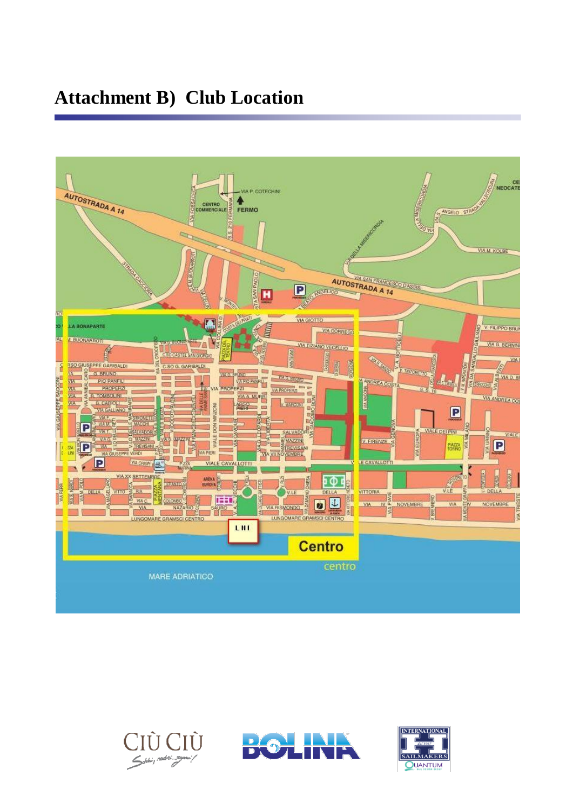## **Attachment B) Club Location**